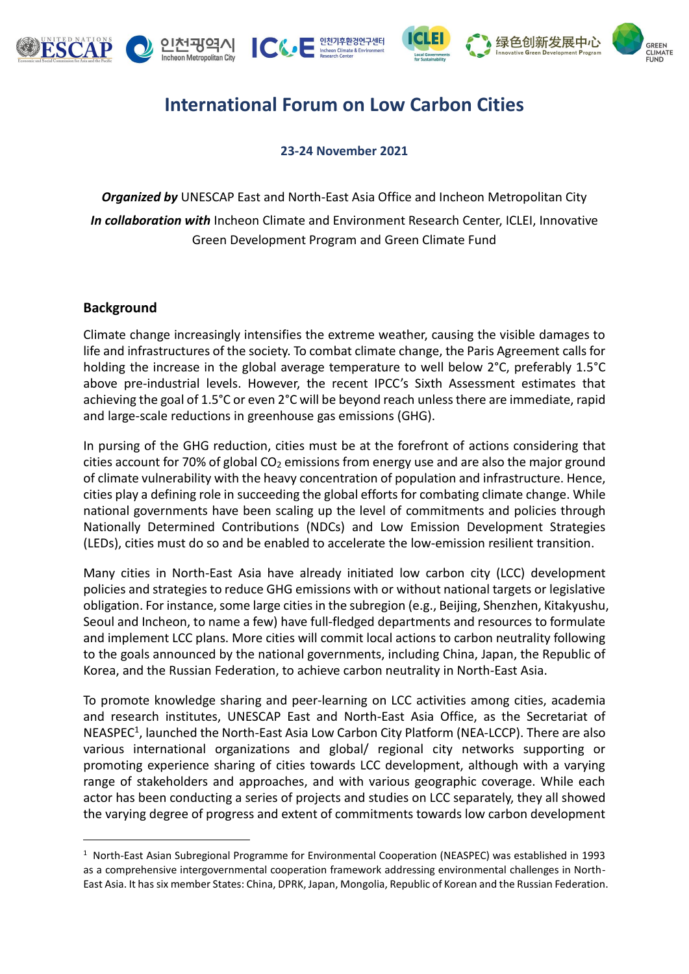









## **International Forum on Low Carbon Cities**

## **23-24 November 2021**

*Organized by* UNESCAP East and North-East Asia Office and Incheon Metropolitan City *In collaboration with* Incheon Climate and Environment Research Center, ICLEI, Innovative Green Development Program and Green Climate Fund

## **Background**

Climate change increasingly intensifies the extreme weather, causing the visible damages to life and infrastructures of the society. To combat climate change, the Paris Agreement calls for holding the increase in the global average temperature to well below 2°C, preferably 1.5°C above pre-industrial levels. However, the recent IPCC's Sixth Assessment estimates that achieving the goal of 1.5°C or even 2°C will be beyond reach unless there are immediate, rapid and large-scale reductions in greenhouse gas emissions (GHG).

In pursing of the GHG reduction, cities must be at the forefront of actions considering that cities account for 70% of global  $CO<sub>2</sub>$  emissions from energy use and are also the major ground of climate vulnerability with the heavy concentration of population and infrastructure. Hence, cities play a defining role in succeeding the global efforts for combating climate change. While national governments have been scaling up the level of commitments and policies through Nationally Determined Contributions (NDCs) and Low Emission Development Strategies (LEDs), cities must do so and be enabled to accelerate the low-emission resilient transition.

Many cities in North-East Asia have already initiated low carbon city (LCC) development policies and strategies to reduce GHG emissions with or without national targets or legislative obligation. For instance, some large cities in the subregion (e.g., Beijing, Shenzhen, Kitakyushu, Seoul and Incheon, to name a few) have full-fledged departments and resources to formulate and implement LCC plans. More cities will commit local actions to carbon neutrality following to the goals announced by the national governments, including China, Japan, the Republic of Korea, and the Russian Federation, to achieve carbon neutrality in North-East Asia.

To promote knowledge sharing and peer-learning on LCC activities among cities, academia and research institutes, UNESCAP East and North-East Asia Office, as the Secretariat of NEASPEC<sup>1</sup>, launched the North-East Asia Low Carbon City Platform (NEA-LCCP). There are also various international organizations and global/ regional city networks supporting or promoting experience sharing of cities towards LCC development, although with a varying range of stakeholders and approaches, and with various geographic coverage. While each actor has been conducting a series of projects and studies on LCC separately, they all showed the varying degree of progress and extent of commitments towards low carbon development

<sup>1</sup> North-East Asian Subregional Programme for Environmental Cooperation (NEASPEC) was established in 1993 as a comprehensive intergovernmental cooperation framework addressing environmental challenges in North-East Asia. It has six member States: China, DPRK, Japan, Mongolia, Republic of Korean and the Russian Federation.